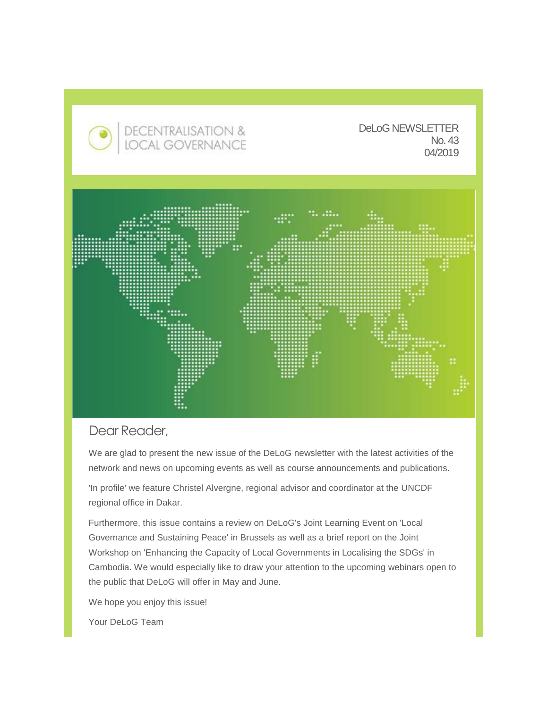

# Dear Reader,

We are glad to present the new issue of the DeLoG newsletter with the latest activities of the network and news on upcoming events as well as course announcements and publications.

'In profile' we feature Christel Alvergne, regional advisor and coordinator at the UNCDF regional office in Dakar.

Furthermore, this issue contains a review on DeLoG's Joint Learning Event on 'Local Governance and Sustaining Peace' in Brussels as well as a brief report on the Joint Workshop on 'Enhancing the Capacity of Local Governments in Localising the SDGs' in Cambodia. We would especially like to draw your attention to the upcoming webinars open to the public that DeLoG will offer in May and June.

We hope you enjoy this issue!

Your DeLoG Team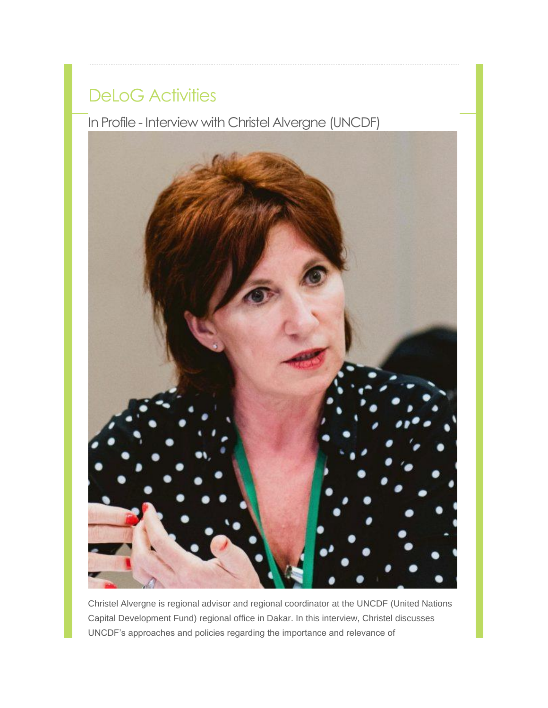# DeLoG Activities

In Profile - Interview with Christel Alvergne (UNCDF)



Christel Alvergne is regional advisor and regional coordinator at the UNCDF (United Nations Capital Development Fund) regional office in Dakar. In this interview, Christel discusses UNCDF's approaches and policies regarding the importance and relevance of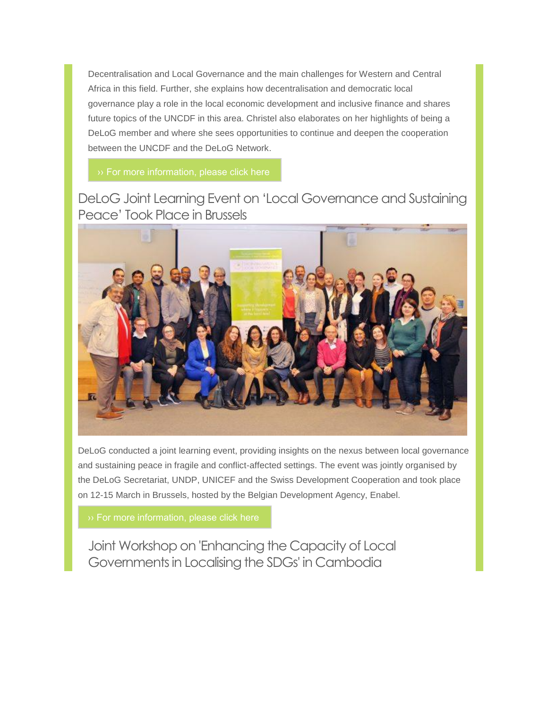Decentralisation and Local Governance and the main challenges for Western and Central Africa in this field. Further, she explains how decentralisation and democratic local governance play a role in the local economic development and inclusive finance and shares future topics of the UNCDF in this area. Christel also elaborates on her highlights of being a DeLoG member and where she sees opportunities to continue and deepen the cooperation between the UNCDF and the DeLoG Network.

# DeLoG Joint Learning Event on 'Local Governance and Sustaining Peace' Took Place in Brussels



DeLoG conducted a joint learning event, providing insights on the nexus between local governance and sustaining peace in fragile and conflict-affected settings. The event was jointly organised by the DeLoG Secretariat, UNDP, UNICEF and the Swiss Development Cooperation and took place on 12-15 March in Brussels, hosted by the Belgian Development Agency, Enabel.

Joint Workshop on 'Enhancing the Capacity of Local Governments in Localising the SDGs' in Cambodia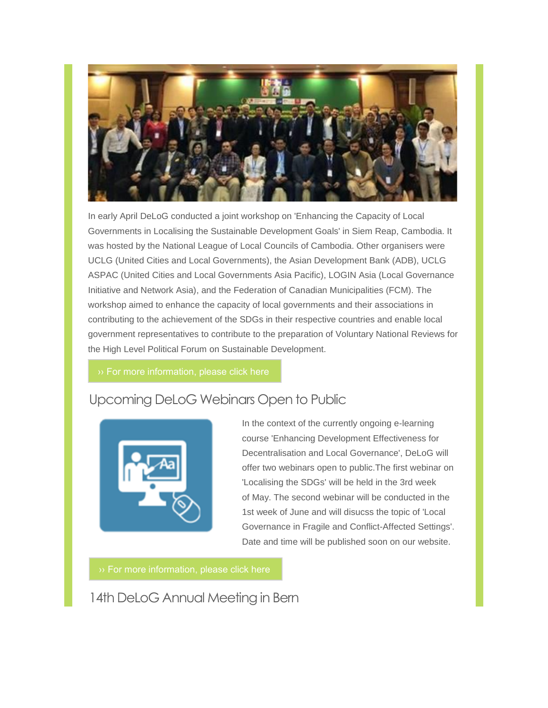

In early April DeLoG conducted a joint workshop on 'Enhancing the Capacity of Local Governments in Localising the Sustainable Development Goals' in Siem Reap, Cambodia. It was hosted by the National League of Local Councils of Cambodia. Other organisers were UCLG (United Cities and Local Governments), the Asian Development Bank (ADB), UCLG ASPAC (United Cities and Local Governments Asia Pacific), LOGIN Asia (Local Governance Initiative and Network Asia), and the Federation of Canadian Municipalities (FCM). The workshop aimed to enhance the capacity of local governments and their associations in contributing to the achievement of the SDGs in their respective countries and enable local government representatives to contribute to the preparation of Voluntary National Reviews for the High Level Political Forum on Sustainable Development.

# Upcoming DeLoG Webinars Open to Public



In the context of the currently ongoing e-learning course 'Enhancing Development Effectiveness for Decentralisation and Local Governance', DeLoG will offer two webinars open to public.The first webinar on 'Localising the SDGs' will be held in the 3rd week of May. The second webinar will be conducted in the 1st week of June and will disucss the topic of 'Local Governance in Fragile and Conflict-Affected Settings'. Date and time will be published soon on our website.

14th DeLoG Annual Meeting in Bern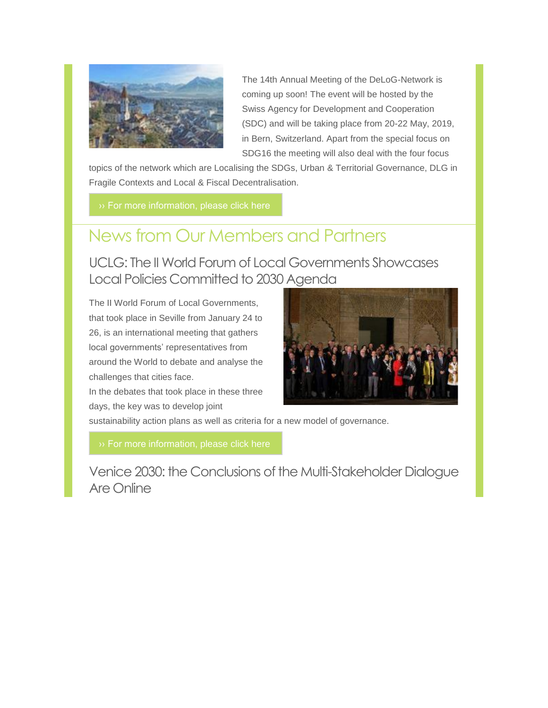

The 14th Annual Meeting of the DeLoG-Network is coming up soon! The event will be hosted by the Swiss Agency for Development and Cooperation (SDC) and will be taking place from 20-22 May, 2019, in Bern, Switzerland. Apart from the special focus on SDG16 the meeting will also deal with the four focus

topics of the network which are Localising the SDGs, Urban & Territorial Governance, DLG in Fragile Contexts and Local & Fiscal Decentralisation.

# News from Our Members and Partners

UCLG: The II World Forum of Local Governments Showcases Local Policies Committed to 2030 Agenda

The II World Forum of Local Governments, that took place in Seville from January 24 to 26, is an international meeting that gathers local governments' representatives from around the World to debate and analyse the challenges that cities face.

In the debates that took place in these three days, the key was to develop joint



sustainability action plans as well as criteria for a new model of governance.

Venice 2030: the Conclusions of the Multi-Stakeholder Dialogue Are Online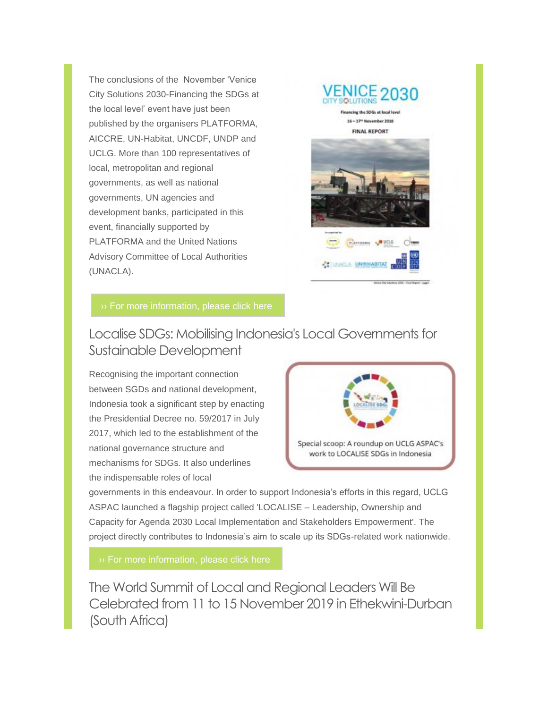The conclusions of the November 'Venice City Solutions 2030-Financing the SDGs at the local level' event have just been published by the organisers PLATFORMA, AICCRE, UN-Habitat, UNCDF, UNDP and UCLG. More than 100 representatives of local, metropolitan and regional governments, as well as national governments, UN agencies and development banks, participated in this event, financially supported by PLATFORMA and the United Nations Advisory Committee of Local Authorities (UNACLA).



16 - 17<sup>th</sup> November 2018

# Localise SDGs: Mobilising Indonesia's Local Governments for Sustainable Development

Recognising the important connection between SGDs and national development, Indonesia took a significant step by enacting the Presidential Decree no. 59/2017 in July 2017, which led to the establishment of the national governance structure and mechanisms for SDGs. It also underlines the indispensable roles of local



governments in this endeavour. In order to support Indonesia's efforts in this regard, UCLG ASPAC launched a flagship project called 'LOCALISE – Leadership, Ownership and Capacity for Agenda 2030 Local Implementation and Stakeholders Empowerment'. The project directly contributes to Indonesia's aim to scale up its SDGs-related work nationwide.

The World Summit of Local and Regional Leaders Will Be Celebrated from 11 to 15 November 2019 in Ethekwini-Durban (South Africa)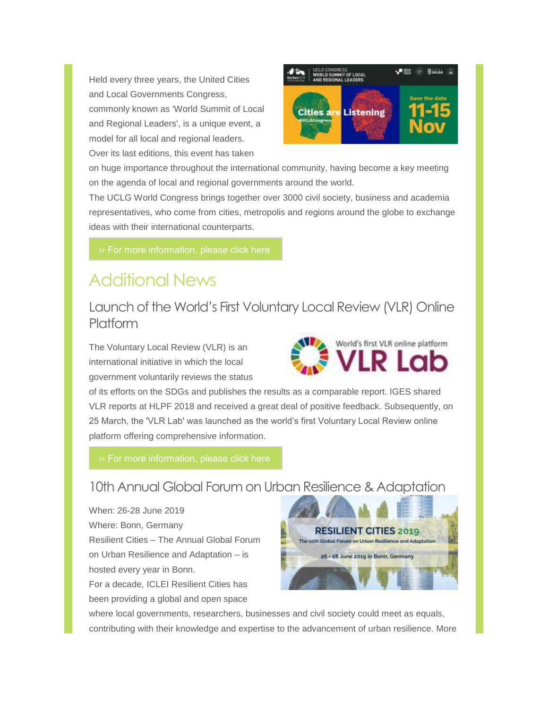Held every three years, the United Cities and Local Governments Congress, commonly known as 'World Summit of Local and Regional Leaders', is a unique event, a model for all local and regional leaders. Over its last editions, this event has taken



on huge importance throughout the international community, having become a key meeting on the agenda of local and regional governments around the world.

The UCLG World Congress brings together over 3000 civil society, business and academia representatives, who come from cities, metropolis and regions around the globe to exchange ideas with their international counterparts.

# Additional News

Launch of the World's First Voluntary Local Review (VLR) Online Platform

The Voluntary Local Review (VLR) is an international initiative in which the local government voluntarily reviews the status



of its efforts on the SDGs and publishes the results as a comparable report. IGES shared VLR reports at HLPF 2018 and received a great deal of positive feedback. Subsequently, on 25 March, the 'VLR Lab' was launched as the world's first Voluntary Local Review online platform offering comprehensive information.

## 10th Annual Global Forum on Urban Resilience & Adaptation

When: 26-28 June 2019 Where: Bonn, Germany Resilient Cities – The Annual Global Forum on Urban Resilience and Adaptation – is hosted every year in Bonn. For a decade, ICLEI Resilient Cities has been providing a global and open space



where local governments, researchers, businesses and civil society could meet as equals, contributing with their knowledge and expertise to the advancement of urban resilience. More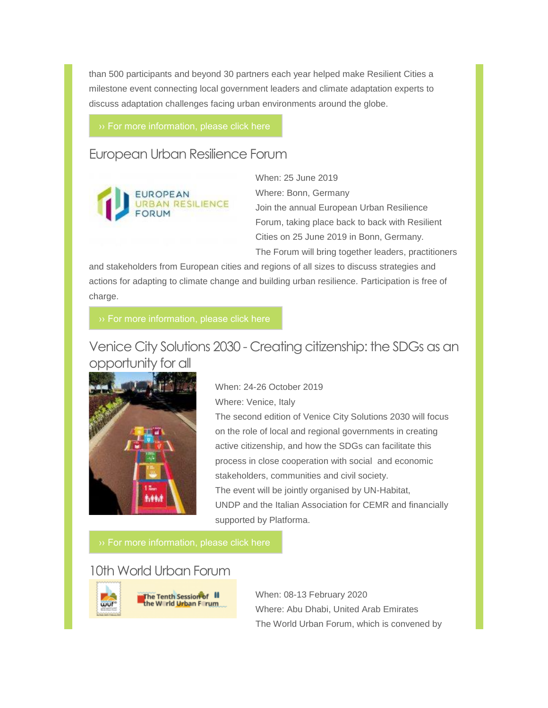than 500 participants and beyond 30 partners each year helped make Resilient Cities a milestone event connecting local government leaders and climate adaptation experts to discuss adaptation challenges facing urban environments around the globe.

### European Urban Resilience Forum



When: 25 June 2019 Where: Bonn, Germany Join the annual European Urban Resilience Forum, taking place back to back with Resilient Cities on 25 June 2019 in Bonn, Germany. The Forum will bring together leaders, practitioners

and stakeholders from European cities and regions of all sizes to discuss strategies and actions for adapting to climate change and building urban resilience. Participation is free of charge.

Venice City Solutions 2030 - Creating citizenship: the SDGs as an opportunity for all



When: 24-26 October 2019 Where: Venice, Italy

The second edition of Venice City Solutions 2030 will focus on the role of local and regional governments in creating active citizenship, and how the SDGs can facilitate this process in close cooperation with social and economic stakeholders, communities and civil society. The event will be jointly organised by UN-Habitat, UNDP and the Italian Association for CEMR and financially supported by Platforma.

The Tenth Session of III<br>the Warld Urban Farum

### 10th World Urban Forum



When: 08-13 February 2020 Where: Abu Dhabi, United Arab Emirates The World Urban Forum, which is convened by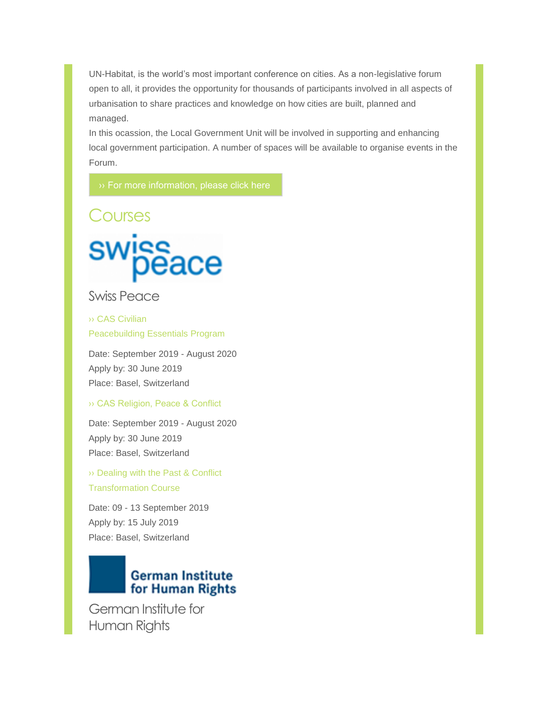UN-Habitat, is the world's most important conference on cities. As a non-legislative forum open to all, it provides the opportunity for thousands of participants involved in all aspects of urbanisation to share practices and knowledge on how cities are built, planned and managed.

In this ocassion, the Local Government Unit will be involved in supporting and enhancing local government participation. A number of spaces will be available to organise events in the Forum.

Courses



### Swiss Peace

›› CAS Civilian [Peacebuilding](https://www.swisspeace.ch/continuing-education/postgraduate-programs/civilian-peacebuilding-essentials) Essentials Program

Date: September 2019 - August 2020 Apply by: 30 June 2019 Place: Basel, Switzerland

#### [›› CAS Religion, Peace & Conflict](https://www.swisspeace.ch/continuing-education/postgraduate-programs/religion-and-konflikt)

Date: September 2019 - August 2020 Apply by: 30 June 2019 Place: Basel, Switzerland

›› [Dealing with the Past & Conflict](https://www.swisspeace.ch/continuing-education/postgraduate-courses/dealing-with-the-past-and-conflict-transformation-course)  Transformation Course

Date: 09 - 13 September 2019 Apply by: 15 July 2019 Place: Basel, Switzerland

# **German Institute** for Human Rights

German Institute for Human Rights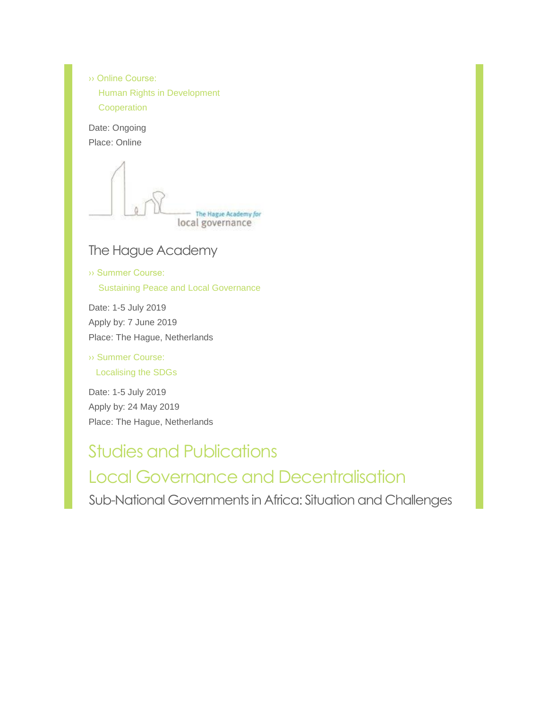›› Online Course: [Human Rights in Development](https://bonnsustainabilityportal.de/de/2019/04/german-institute-for-human-rights-self-paced-e-learning-course-human-rights-in-development-cooperation/)  **[Cooperation](https://www.humanrights4dev.org/)** 

Date: Ongoing Place: Online

- The Hague Academy for local governance

# The Hague Academy

[›› Summer Course:](https://thehagueacademy.com/blog/2018/04/summercourse-sustaining-peace-and-local-governance/) Sustaining Peace and Local Governance

Date: 1-5 July 2019 Apply by: 7 June 2019 Place: The Hague, Netherlands

[››](https://delog.org/web/mailster/11584/00000000000000000000000000000000/aHR0cHM6Ly90aGVoYWd1ZWFjYWRlbXkuY29tL2Jsb2cvMjAxOC8wNC9pbmNsdXNpdmUtc2VydmljZS1kZWxpdmVyeS10aGUtc2Rncy8) [Summer Course:](https://thehagueacademy.com/blog/2018/04/2019-summercourse-decentralisation-sdgs/) Localising the SDGs

Date: 1-5 July 2019 Apply by: 24 May 2019 Place: The Hague, Netherlands

Studies and Publications Local Governance and Decentralisation Sub-National Governments in Africa: Situation and Challenges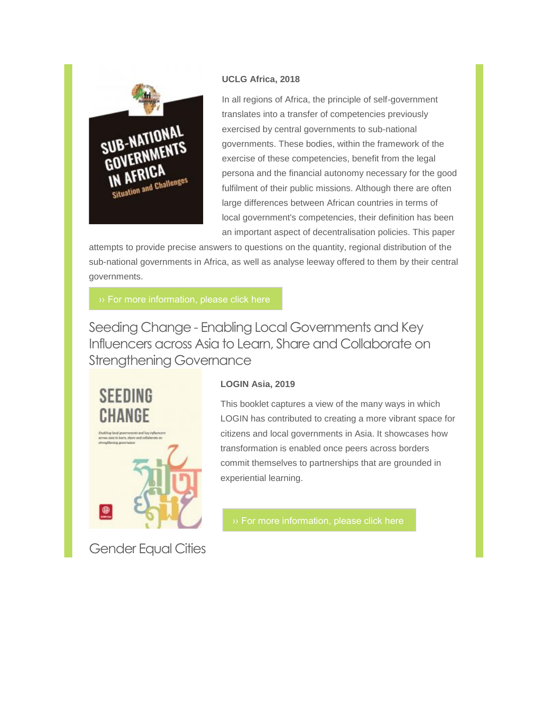

#### **UCLG Africa, 2018**

In all regions of Africa, the principle of self-government translates into a transfer of competencies previously exercised by central governments to sub-national governments. These bodies, within the framework of the exercise of these competencies, benefit from the legal persona and the financial autonomy necessary for the good fulfilment of their public missions. Although there are often large differences between African countries in terms of local government's competencies, their definition has been an important aspect of decentralisation policies. This paper

attempts to provide precise answers to questions on the quantity, regional distribution of the sub-national governments in Africa, as well as analyse leeway offered to them by their central governments.

Seeding Change - Enabling Local Governments and Key Influencers across Asia to Learn, Share and Collaborate on Strengthening Governance



Gender Equal Cities

#### **LOGIN Asia, 2019**

This booklet captures a view of the many ways in which LOGIN has contributed to creating a more vibrant space for citizens and local governments in Asia. It showcases how transformation is enabled once peers across borders commit themselves to partnerships that are grounded in experiential learning.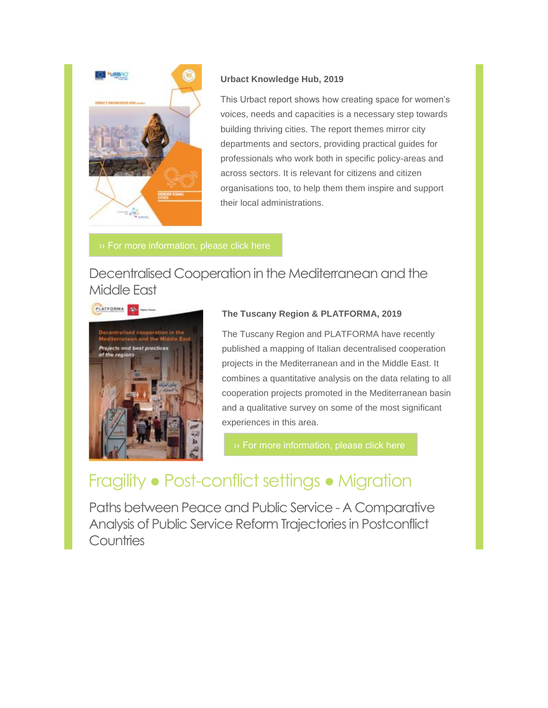

#### **Urbact Knowledge Hub, 2019**

This Urbact report shows how creating space for women's voices, needs and capacities is a necessary step towards building thriving cities. The report themes mirror city departments and sectors, providing practical guides for professionals who work both in specific policy-areas and across sectors. It is relevant for citizens and citizen organisations too, to help them them inspire and support their local administrations.

# Decentralised Cooperation in the Mediterranean and the Middle East



#### **The Tuscany Region & PLATFORMA, 2019**

The Tuscany Region and PLATFORMA have recently published a mapping of Italian decentralised cooperation projects in the Mediterranean and in the Middle East. It combines a quantitative analysis on the data relating to all cooperation projects promoted in the Mediterranean basin and a qualitative survey on some of the most significant experiences in this area.

# Fragility ● Post-conflict settings ● Migration

Paths between Peace and Public Service - A Comparative Analysis of Public Service Reform Trajectories in Postconflict **Countries**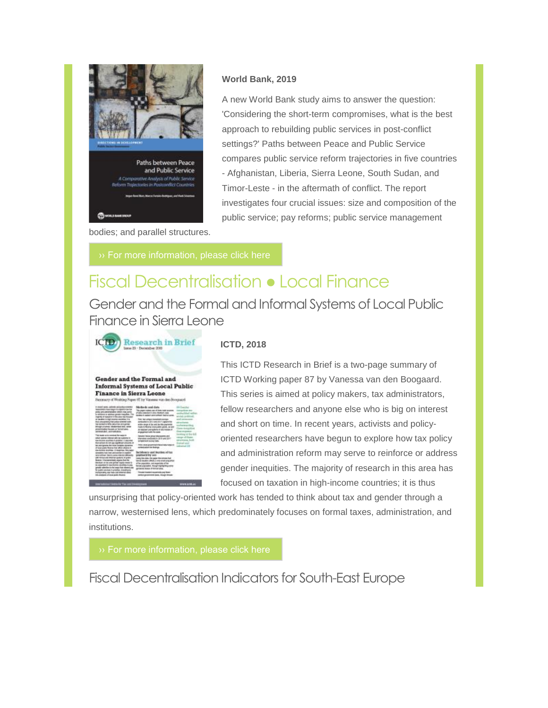

#### **World Bank, 2019**

A new World Bank study aims to answer the question: 'Considering the short-term compromises, what is the best approach to rebuilding public services in post-conflict settings?' Paths between Peace and Public Service compares public service reform trajectories in five countries - Afghanistan, Liberia, Sierra Leone, South Sudan, and Timor-Leste - in the aftermath of conflict. The report investigates four crucial issues: size and composition of the public service; pay reforms; public service management

bodies; and parallel structures.

# Fiscal Decentralisation ● Local Finance

Gender and the Formal and Informal Systems of Local Public Finance in Sierra Leone



#### **ICTD, 2018**

#### Gender and the Formal and **Informal Systems of Local Public Finance in Sierra Leone**

| In closed water, activeds probabilized research<br>warehouse man regar to superior ow to<br>principal and and restrictions to detect in the partner<br>is retribined in address permits interpolled. This<br>harms of question the also has moved                                                                                                                                                                                                                                                                                                                                                                                                                                                                                                                                   | Mathashi wast dista:<br>This probably cruckens come of finance major government<br><b>Public conclusion are classified and</b><br>scottis in assisted single political disease as a con-                                                                                                                                                                      | <b>BECAMERA</b><br>and a fish and read<br>anniel, pol<br>and eventual<br><b><i><u><u>ATA PERSON</u></u></i></b><br>la ser de Argilio en<br>ooking in the &<br>Angel of Green<br>mainsea, both<br><b><i><u>Color General</u></i></b><br><b>All Service Real</b> |
|-------------------------------------------------------------------------------------------------------------------------------------------------------------------------------------------------------------------------------------------------------------------------------------------------------------------------------------------------------------------------------------------------------------------------------------------------------------------------------------------------------------------------------------------------------------------------------------------------------------------------------------------------------------------------------------------------------------------------------------------------------------------------------------|---------------------------------------------------------------------------------------------------------------------------------------------------------------------------------------------------------------------------------------------------------------------------------------------------------------------------------------------------------------|----------------------------------------------------------------------------------------------------------------------------------------------------------------------------------------------------------------------------------------------------------------|
| or laudier nings some approve it to<br>End principles is that policy of willed each.<br>se smed e tiña jalurga ampiraj<br><b>Imagina sumas inkalamiaus smil. anka</b> s<br>prederington fiscates or lawyer and<br>winnia dal, wataatidasi                                                                                                                                                                                                                                                                                                                                                                                                                                                                                                                                           | This fair urban installationizes<br>seminated to 2013 and 2017 capture-for<br>with sings it by aid builty partners<br>WA & Mortel Attravelet/pickl, or will<br>to be pair you reflect to the model of<br><b>POASTATI AT TO SALE</b>                                                                                                                           |                                                                                                                                                                                                                                                                |
| THE ROOM LEVEL DIRECTED THE NAME OF<br>artist comme interest solicite nutriens in<br>the discover substitute of anticipan 1 applicated<br>that actuals do not pay significant amounts in<br>as are system for more sumplex optioning<br>If you'll picky finance but affect interest in<br><b>EASYSTEM GOVERN IT GOVERNS TRUCKER</b><br>Greaters has non and parties in realism<br>WAS SURFACE DAVID LANDAL RIMOGE DRIVINGS<br>altit tomarana kitaman andarra iti paleri<br>Now on 1 Automotive arrange has the<br>decided on by will prode scale medi-<br>by a student of the district deadling for<br>www.alestinuturies.com and closes age<br>Or jednik naturalni ili grodilist, interdingi te-<br>mahasisatna anar tada, and emonso sked.<br>tels produced refinent acids Begrew | <b>Cancers' house among abundances and</b><br>Warverse solicited in 2018 and 2011<br>completions include value.                                                                                                                                                                                                                                               |                                                                                                                                                                                                                                                                |
|                                                                                                                                                                                                                                                                                                                                                                                                                                                                                                                                                                                                                                                                                                                                                                                     | THE SERVICE RESISTING IN THE REAL PROPERTY.<br>creatively size free factories.                                                                                                                                                                                                                                                                                |                                                                                                                                                                                                                                                                |
|                                                                                                                                                                                                                                                                                                                                                                                                                                                                                                                                                                                                                                                                                                                                                                                     | INCREASE UNE BUYDES AFTER<br>powersome by some<br>ains from this rise paper that provis that<br>smost decaders allocate, a story entert songsuinter<br>affre population, and expectate railing<br>веза управил, тюритарав верхня<br>primited beauty of furnishment<br>Thropia holadadi rausahalaku pay Hosed<br>strike alan memberat lasten. His said linnade |                                                                                                                                                                                                                                                                |

This ICTD Research in Brief is a two-page summary of ICTD Working paper 87 by Vanessa van den Boogaard. This series is aimed at policy makers, tax administrators, fellow researchers and anyone else who is big on interest and short on time. In recent years, activists and policyoriented researchers have begun to explore how tax policy and administration reform may serve to reinforce or address gender inequities. The majority of research in this area has focused on taxation in high-income countries; it is thus

unsurprising that policy-oriented work has tended to think about tax and gender through a narrow, westernised lens, which predominately focuses on formal taxes, administration, and institutions.

Fiscal Decentralisation Indicators for South-East Europe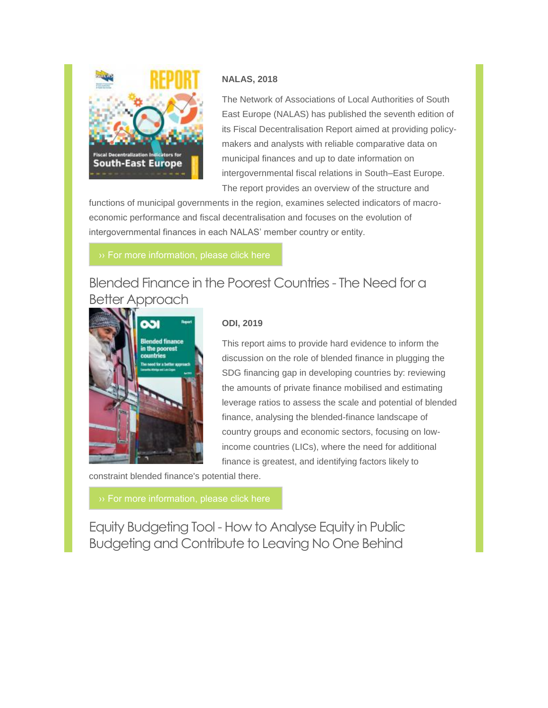

### **NALAS, 2018**

The Network of Associations of Local Authorities of South East Europe (NALAS) has published the seventh edition of its Fiscal Decentralisation Report aimed at providing policymakers and analysts with reliable comparative data on municipal finances and up to date information on intergovernmental fiscal relations in South–East Europe. The report provides an overview of the structure and

functions of municipal governments in the region, examines selected indicators of macroeconomic performance and fiscal decentralisation and focuses on the evolution of intergovernmental finances in each NALAS' member country or entity.

# Blended Finance in the Poorest Countries - The Need for a Better Approach



#### **ODI, 2019**

This report aims to provide hard evidence to inform the discussion on the role of blended finance in plugging the SDG financing gap in developing countries by: reviewing the amounts of private finance mobilised and estimating leverage ratios to assess the scale and potential of blended finance, analysing the blended-finance landscape of country groups and economic sectors, focusing on lowincome countries (LICs), where the need for additional finance is greatest, and identifying factors likely to

constraint blended finance's potential there.

Equity Budgeting Tool - How to Analyse Equity in Public Budgeting and Contribute to Leaving No One Behind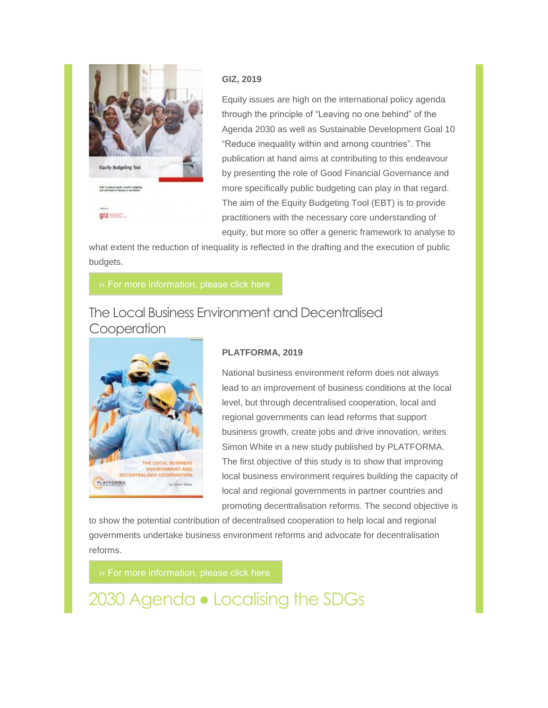

#### **GIZ, 2019**

Equity issues are high on the international policy agenda through the principle of "Leaving no one behind" of the Agenda 2030 as well as Sustainable Development Goal 10 "Reduce inequality within and among countries". The publication at hand aims at contributing to this endeavour by presenting the role of Good Financial Governance and more specifically public budgeting can play in that regard. The aim of the Equity Budgeting Tool (EBT) is to provide practitioners with the necessary core understanding of equity, but more so offer a generic framework to analyse to

what extent the reduction of inequality is reflected in the drafting and the execution of public budgets.

# The Local Business Environment and Decentralised **Cooperation**



#### **PLATFORMA, 2019**

National business environment reform does not always lead to an improvement of business conditions at the local level, but through decentralised cooperation, local and regional governments can lead reforms that support business growth, create jobs and drive innovation, writes Simon White in a new study published by PLATFORMA. The first objective of this study is to show that improving local business environment requires building the capacity of local and regional governments in partner countries and promoting decentralisation reforms. The second objective is

to show the potential contribution of decentralised cooperation to help local and regional governments undertake business environment reforms and advocate for decentralisation reforms.

2030 Agenda ● Localising the SDGs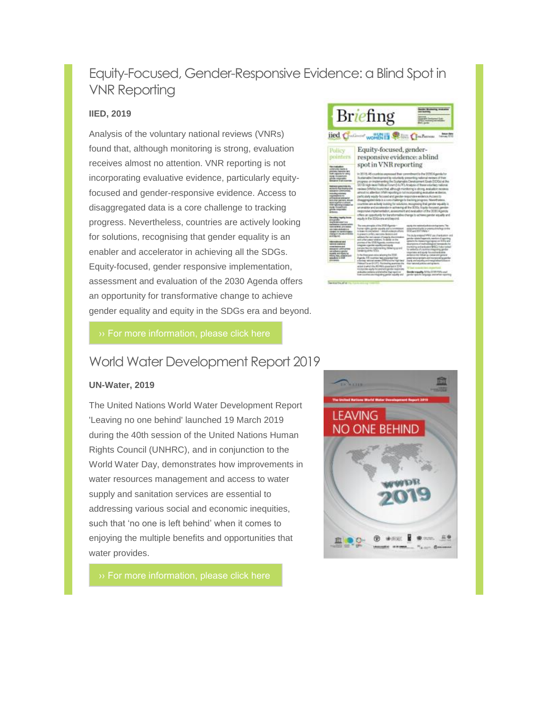# Equity-Focused, Gender-Responsive Evidence: a Blind Spot in VNR Reporting

#### **IIED, 2019**

Analysis of the voluntary national reviews (VNRs) found that, although monitoring is strong, evaluation receives almost no attention. VNR reporting is not incorporating evaluative evidence, particularly equityfocused and gender-responsive evidence. Access to disaggregated data is a core challenge to tracking progress. Nevertheless, countries are actively looking for solutions, recognising that gender equality is an enabler and accelerator in achieving all the SDGs. Equity-focused, gender responsive implementation, assessment and evaluation of the 2030 Agenda offers an opportunity for transformative change to achieve gender equality and equity in the SDGs era and beyond.



### World Water Development Report 2019

#### **UN-Water, 2019**

The United Nations World Water Development Report 'Leaving no one behind' launched 19 March 2019 during the 40th session of the United Nations Human Rights Council (UNHRC), and in conjunction to the World Water Day, demonstrates how improvements in water resources management and access to water supply and sanitation services are essential to addressing various social and economic inequities, such that 'no one is left behind' when it comes to enjoying the multiple benefits and opportunities that water provides.

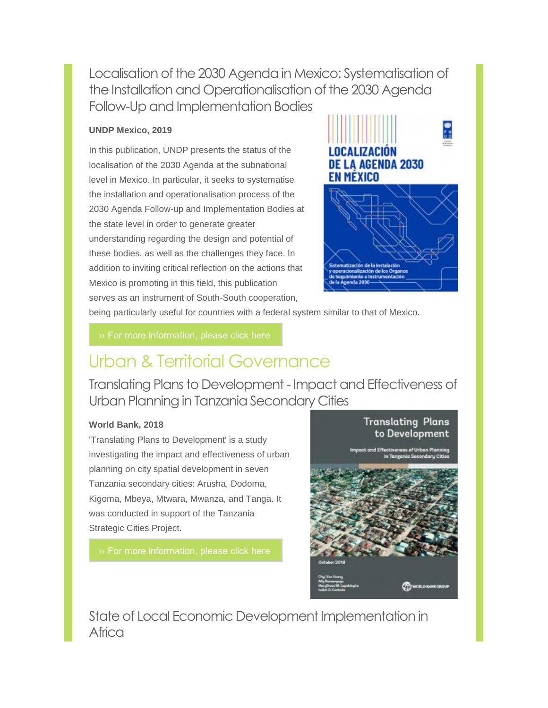Localisation of the 2030 Agenda in Mexico: Systematisation of the Installation and Operationalisation of the 2030 Agenda Follow-Up and Implementation Bodies

### **UNDP Mexico, 2019**

In this publication, UNDP presents the status of the localisation of the 2030 Agenda at the subnational level in Mexico. In particular, it seeks to systematise the installation and operationalisation process of the 2030 Agenda Follow-up and Implementation Bodies at the state level in order to generate greater understanding regarding the design and potential of these bodies, as well as the challenges they face. In addition to inviting critical reflection on the actions that Mexico is promoting in this field, this publication serves as an instrument of South-South cooperation,



being particularly useful for countries with a federal system similar to that of Mexico.

# Urban & Territorial Governance

Translating Plans to Development - Impact and Effectiveness of Urban Planning in Tanzania Secondary Cities

#### **World Bank, 2018**

'Translating Plans to Development' is a study investigating the impact and effectiveness of urban planning on city spatial development in seven Tanzania secondary cities: Arusha, Dodoma, Kigoma, Mbeya, Mtwara, Mwanza, and Tanga. It was conducted in support of the Tanzania Strategic Cities Project.

[›› For more information, please click here](http://documents.worldbank.org/curated/en/300731546897829355/Translating-Plans-to-Development-Impact-and-Effectiveness-of-Urban-Planning-in-Tanzania-Secondary-Cities.pdf)



State of Local Economic Development Implementation in Africa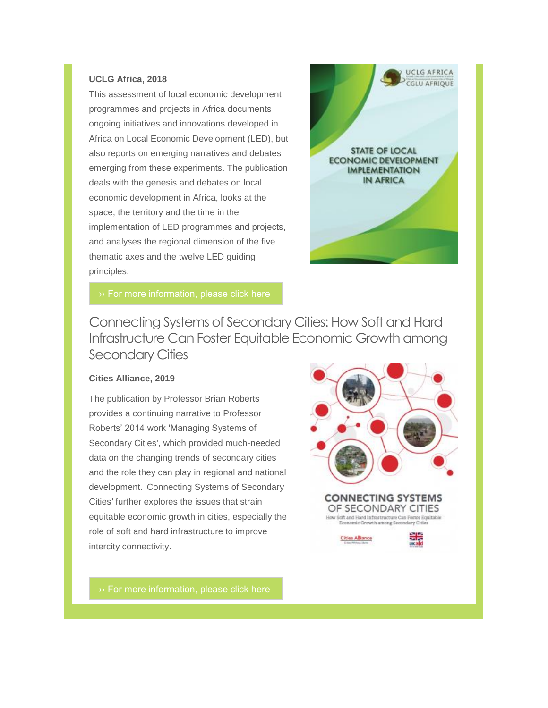#### **UCLG Africa, 2018**

This assessment of local economic development programmes and projects in Africa documents ongoing initiatives and innovations developed in Africa on Local Economic Development (LED), but also reports on emerging narratives and debates emerging from these experiments. The publication deals with the genesis and debates on local economic development in Africa, looks at the space, the territory and the time in the implementation of LED programmes and projects, and analyses the regional dimension of the five thematic axes and the twelve LED guiding principles.



Connecting Systems of Secondary Cities: How Soft and Hard Infrastructure Can Foster Equitable Economic Growth among Secondary Cities

#### **Cities Alliance, 2019**

The publication by Professor Brian Roberts provides a continuing narrative to Professor Roberts' 2014 work 'Managing Systems of Secondary Cities', which provided much-needed data on the changing trends of secondary cities and the role they can play in regional and national development. 'Connecting Systems of Secondary Cities*'* further explores the issues that strain equitable economic growth in cities, especially the role of soft and hard infrastructure to improve intercity connectivity.